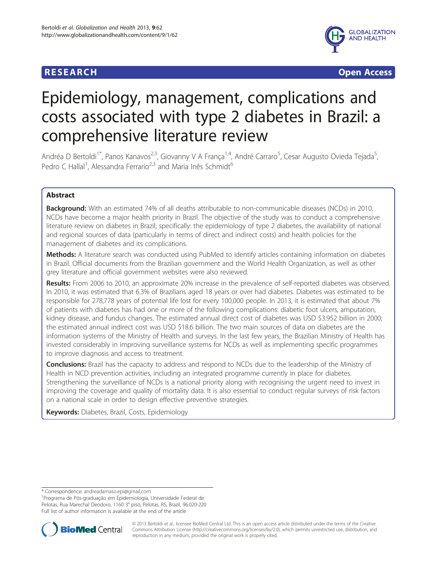## **RESEARCH RESEARCH** *CHECK CHECK CHECK CHECK CHECK CHECK CHECK CHECK CHECK CHECK CHECK CHECK CHECK CHECK CHECK CHECK CHECK CHECK CHECK CHECK CHECK CHECK CHECK CHECK CHECK CHECK CHECK CHECK CHECK CHECK CHECK CHECK CHECK*



# Epidemiology, management, complications and costs associated with type 2 diabetes in Brazil: a comprehensive literature review

Andréa D Bertoldi<sup>1\*</sup>, Panos Kanavos<sup>2,3</sup>, Giovanny V A França<sup>1,4</sup>, André Carraro<sup>5</sup>, Cesar Augusto Ovieda Tejada<sup>5</sup> , Pedro C Hallal<sup>1</sup>, Alessandra Ferrario<sup>2,3</sup> and Maria Inês Schmidt<sup>6</sup>

## Abstract

**Background:** With an estimated 74% of all deaths attributable to non-communicable diseases (NCDs) in 2010, NCDs have become a major health priority in Brazil. The objective of the study was to conduct a comprehensive literature review on diabetes in Brazil; specifically: the epidemiology of type 2 diabetes, the availability of national and regional sources of data (particularly in terms of direct and indirect costs) and health policies for the management of diabetes and its complications.

Methods: A literature search was conducted using PubMed to identify articles containing information on diabetes in Brazil. Official documents from the Brazilian government and the World Health Organization, as well as other grey literature and official government websites were also reviewed.

Results: From 2006 to 2010, an approximate 20% increase in the prevalence of self-reported diabetes was observed. In 2010, it was estimated that 6.3% of Brazilians aged 18 years or over had diabetes. Diabetes was estimated to be responsible for 278,778 years of potential life lost for every 100,000 people. In 2013, it is estimated that about 7% of patients with diabetes has had one or more of the following complications: diabetic foot ulcers, amputation, kidney disease, and fundus changes. The estimated annual direct cost of diabetes was USD \$3.952 billion in 2000; the estimated annual indirect cost was USD \$18.6 billion. The two main sources of data on diabetes are the information systems of the Ministry of Health and surveys. In the last few years, the Brazilian Ministry of Health has invested considerably in improving surveillance systems for NCDs as well as implementing specific programmes to improve diagnosis and access to treatment.

**Conclusions:** Brazil has the capacity to address and respond to NCDs due to the leadership of the Ministry of Health in NCD prevention activities, including an integrated programme currently in place for diabetes. Strengthening the surveillance of NCDs is a national priority along with recognising the urgent need to invest in improving the coverage and quality of mortality data. It is also essential to conduct regular surveys of risk factors on a national scale in order to design effective preventive strategies.

Keywords: Diabetes, Brazil, Costs, Epidemiology

<sup>&</sup>lt;sup>1</sup>Programa de Pós-graduação em Epidemiologia, Universidade Federal de Pelotas, Rua Marechal Deodoro, 1160 3° piso, Pelotas, RS, Brazil, 96.020-220 Full list of author information is available at the end of the article



© 2013 Bertoldi et al.; licensee BioMed Central Ltd. This is an open access article distributed under the terms of the Creative Commons Attribution License [\(http://creativecommons.org/licenses/by/2.0\)](http://creativecommons.org/licenses/by/2.0), which permits unrestricted use, distribution, and reproduction in any medium, provided the original work is properly cited.

<sup>\*</sup> Correspondence: [andreadamaso.epi@gmail.com](mailto:andreadamaso.epi@gmail.com) <sup>1</sup>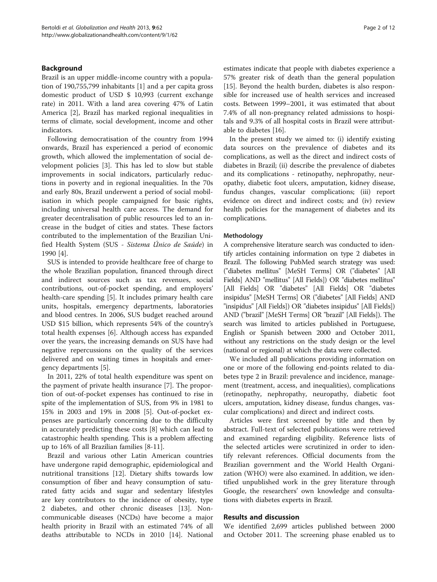## Background

Brazil is an upper middle-income country with a population of 190,755,799 inhabitants [[1\]](#page-9-0) and a per capita gross domestic product of USD \$ 10,993 (current exchange rate) in 2011. With a land area covering 47% of Latin America [[2\]](#page-9-0), Brazil has marked regional inequalities in terms of climate, social development, income and other indicators.

Following democratisation of the country from 1994 onwards, Brazil has experienced a period of economic growth, which allowed the implementation of social development policies [\[3](#page-9-0)]. This has led to slow but stable improvements in social indicators, particularly reductions in poverty and in regional inequalities. In the 70s and early 80s, Brazil underwent a period of social mobilisation in which people campaigned for basic rights, including universal health care access. The demand for greater decentralisation of public resources led to an increase in the budget of cities and states. These factors contributed to the implementation of the Brazilian Unified Health System (SUS - Sistema Único de Saúde) in 1990 [\[4](#page-9-0)].

SUS is intended to provide healthcare free of charge to the whole Brazilian population, financed through direct and indirect sources such as tax revenues, social contributions, out-of-pocket spending, and employers' health-care spending [\[5\]](#page-9-0). It includes primary health care units, hospitals, emergency departments, laboratories and blood centres. In 2006, SUS budget reached around USD \$15 billion, which represents 54% of the country's total health expenses [\[6\]](#page-9-0). Although access has expanded over the years, the increasing demands on SUS have had negative repercussions on the quality of the services delivered and on waiting times in hospitals and emergency departments [\[5](#page-9-0)].

In 2011, 22% of total health expenditure was spent on the payment of private health insurance [[7\]](#page-9-0). The proportion of out-of-pocket expenses has continued to rise in spite of the implementation of SUS, from 9% in 1981 to 15% in 2003 and 19% in 2008 [\[5\]](#page-9-0). Out-of-pocket expenses are particularly concerning due to the difficulty in accurately predicting these costs [[8\]](#page-9-0) which can lead to catastrophic health spending. This is a problem affecting up to 16% of all Brazilian families [\[8](#page-9-0)-[11\]](#page-9-0).

Brazil and various other Latin American countries have undergone rapid demographic, epidemiological and nutritional transitions [[12](#page-9-0)]. Dietary shifts towards low consumption of fiber and heavy consumption of saturated fatty acids and sugar and sedentary lifestyles are key contributors to the incidence of obesity, type 2 diabetes, and other chronic diseases [\[13\]](#page-9-0). Noncommunicable diseases (NCDs) have become a major health priority in Brazil with an estimated 74% of all deaths attributable to NCDs in 2010 [[14\]](#page-9-0). National

estimates indicate that people with diabetes experience a 57% greater risk of death than the general population [[15\]](#page-9-0). Beyond the health burden, diabetes is also responsible for increased use of health services and increased costs. Between 1999–2001, it was estimated that about 7.4% of all non-pregnancy related admissions to hospitals and 9.3% of all hospital costs in Brazil were attributable to diabetes [[16](#page-9-0)].

In the present study we aimed to: (i) identify existing data sources on the prevalence of diabetes and its complications, as well as the direct and indirect costs of diabetes in Brazil; (ii) describe the prevalence of diabetes and its complications - retinopathy, nephropathy, neuropathy, diabetic foot ulcers, amputation, kidney disease, fundus changes, vascular complications; (iii) report evidence on direct and indirect costs; and (iv) review health policies for the management of diabetes and its complications.

## Methodology

A comprehensive literature search was conducted to identify articles containing information on type 2 diabetes in Brazil. The following PubMed search strategy was used: ("diabetes mellitus" [MeSH Terms] OR ("diabetes" [All Fields] AND "mellitus" [All Fields]) OR "diabetes mellitus" [All Fields] OR "diabetes" [All Fields] OR "diabetes insipidus" [MeSH Terms] OR ("diabetes" [All Fields] AND "insipidus" [All Fields]) OR "diabetes insipidus" [All Fields]) AND ("brazil" [MeSH Terms] OR "brazil" [All Fields]). The search was limited to articles published in Portuguese, English or Spanish between 2000 and October 2011, without any restrictions on the study design or the level (national or regional) at which the data were collected.

We included all publications providing information on one or more of the following end-points related to diabetes type 2 in Brazil: prevalence and incidence, management (treatment, access, and inequalities), complications (retinopathy, nephropathy, neuropathy, diabetic foot ulcers, amputation, kidney disease, fundus changes, vascular complications) and direct and indirect costs.

Articles were first screened by title and then by abstract. Full-text of selected publications were retrieved and examined regarding eligibility. Reference lists of the selected articles were scrutinized in order to identify relevant references. Official documents from the Brazilian government and the World Health Organization (WHO) were also examined. In addition, we identified unpublished work in the grey literature through Google, the researchers' own knowledge and consultations with diabetes experts in Brazil.

## Results and discussion

We identified 2,699 articles published between 2000 and October 2011. The screening phase enabled us to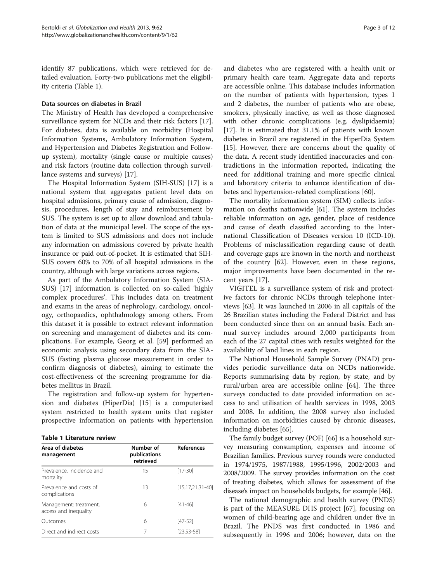identify 87 publications, which were retrieved for detailed evaluation. Forty-two publications met the eligibility criteria (Table 1).

#### Data sources on diabetes in Brazil

The Ministry of Health has developed a comprehensive surveillance system for NCDs and their risk factors [\[17](#page-10-0)]. For diabetes, data is available on morbidity (Hospital Information Systems, Ambulatory Information System, and Hypertension and Diabetes Registration and Followup system), mortality (single cause or multiple causes) and risk factors (routine data collection through surveillance systems and surveys) [[17](#page-10-0)].

The Hospital Information System (SIH-SUS) [[17\]](#page-10-0) is a national system that aggregates patient level data on hospital admissions, primary cause of admission, diagnosis, procedures, length of stay and reimbursement by SUS. The system is set up to allow download and tabulation of data at the municipal level. The scope of the system is limited to SUS admissions and does not include any information on admissions covered by private health insurance or paid out-of-pocket. It is estimated that SIH-SUS covers 60% to 70% of all hospital admissions in the country, although with large variations across regions.

As part of the Ambulatory Information System (SIA-SUS) [[17\]](#page-10-0) information is collected on so-called 'highly complex procedures'. This includes data on treatment and exams in the areas of nephrology, cardiology, oncology, orthopaedics, ophthalmology among others. From this dataset it is possible to extract relevant information on screening and management of diabetes and its complications. For example, Georg et al. [[59\]](#page-10-0) performed an economic analysis using secondary data from the SIA-SUS (fasting plasma glucose measurement in order to confirm diagnosis of diabetes), aiming to estimate the cost-effectiveness of the screening programme for diabetes mellitus in Brazil.

The registration and follow-up system for hypertension and diabetes (HiperDia) [\[15\]](#page-9-0) is a computerised system restricted to health system units that register prospective information on patients with hypertension

Table 1 Literature review

| Area of diabetes<br>management                  | Number of<br>publications<br>retrieved | <b>References</b>       |
|-------------------------------------------------|----------------------------------------|-------------------------|
| Prevalence, incidence and<br>mortality          | 15                                     | $[17 - 30]$             |
| Prevalence and costs of<br>complications        | 13                                     | $[15, 17, 21, 31 - 40]$ |
| Management: treatment,<br>access and inequality | 6                                      | $[41 - 46]$             |
| Outcomes                                        | 6                                      | $[47-52]$               |
| Direct and indirect costs                       | 7                                      | [23.53-58]              |

and diabetes who are registered with a health unit or primary health care team. Aggregate data and reports are accessible online. This database includes information on the number of patients with hypertension, types 1 and 2 diabetes, the number of patients who are obese, smokers, physically inactive, as well as those diagnosed with other chronic complications (e.g. dyslipidaemia) [[17\]](#page-10-0). It is estimated that 31.1% of patients with known diabetes in Brazil are registered in the HiperDia System [[15\]](#page-9-0). However, there are concerns about the quality of the data. A recent study identified inaccuracies and contradictions in the information reported, indicating the need for additional training and more specific clinical and laboratory criteria to enhance identification of diabetes and hypertension-related complications [[60](#page-11-0)].

The mortality information system (SIM) collects information on deaths nationwide [\[61](#page-11-0)]. The system includes reliable information on age, gender, place of residence and cause of death classified according to the International Classification of Diseases version 10 (ICD-10). Problems of misclassification regarding cause of death and coverage gaps are known in the north and northeast of the country [\[62](#page-11-0)]. However, even in these regions, major improvements have been documented in the recent years [[17\]](#page-10-0).

VIGITEL is a surveillance system of risk and protective factors for chronic NCDs through telephone interviews [\[63](#page-11-0)]. It was launched in 2006 in all capitals of the 26 Brazilian states including the Federal District and has been conducted since then on an annual basis. Each annual survey includes around 2,000 participants from each of the 27 capital cities with results weighted for the availability of land lines in each region.

The National Household Sample Survey (PNAD) provides periodic surveillance data on NCDs nationwide. Reports summarising data by region, by state, and by rural/urban area are accessible online [[64\]](#page-11-0). The three surveys conducted to date provided information on access to and utilisation of health services in 1998, 2003 and 2008. In addition, the 2008 survey also included information on morbidities caused by chronic diseases, including diabetes [[65\]](#page-11-0).

The family budget survey (POF) [\[66\]](#page-11-0) is a household survey measuring consumption, expenses and income of Brazilian families. Previous survey rounds were conducted in 1974/1975, 1987/1988, 1995/1996, 2002/2003 and 2008/2009. The survey provides information on the cost of treating diabetes, which allows for assessment of the disease's impact on households budgets, for example [[46](#page-10-0)].

The national demographic and health survey (PNDS) is part of the MEASURE DHS project [\[67](#page-11-0)], focusing on women of child-bearing age and children under five in Brazil. The PNDS was first conducted in 1986 and subsequently in 1996 and 2006; however, data on the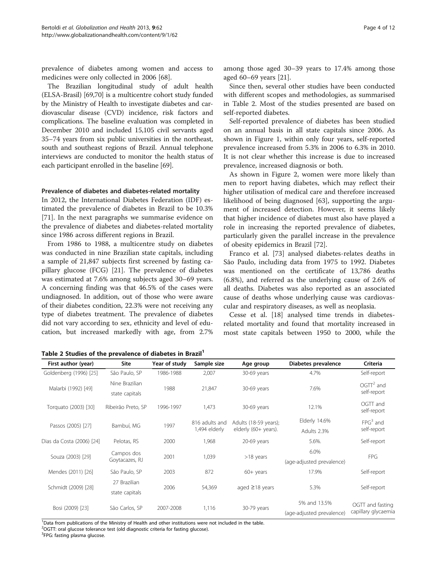prevalence of diabetes among women and access to medicines were only collected in 2006 [\[68\]](#page-11-0).

The Brazilian longitudinal study of adult health (ELSA-Brasil) [\[69,70](#page-11-0)] is a multicentre cohort study funded by the Ministry of Health to investigate diabetes and cardiovascular disease (CVD) incidence, risk factors and complications. The baseline evaluation was completed in December 2010 and included 15,105 civil servants aged 35–74 years from six public universities in the northeast, south and southeast regions of Brazil. Annual telephone interviews are conducted to monitor the health status of each participant enrolled in the baseline [[69](#page-11-0)].

#### Prevalence of diabetes and diabetes-related mortality

In 2012, the International Diabetes Federation (IDF) estimated the prevalence of diabetes in Brazil to be 10.3% [[71\]](#page-11-0). In the next paragraphs we summarise evidence on the prevalence of diabetes and diabetes-related mortality since 1986 across different regions in Brazil.

From 1986 to 1988, a multicentre study on diabetes was conducted in nine Brazilian state capitals, including a sample of 21,847 subjects first screened by fasting capillary glucose (FCG) [\[21](#page-10-0)]. The prevalence of diabetes was estimated at 7.6% among subjects aged 30–69 years. A concerning finding was that 46.5% of the cases were undiagnosed. In addition, out of those who were aware of their diabetes condition, 22.3% were not receiving any type of diabetes treatment. The prevalence of diabetes did not vary according to sex, ethnicity and level of education, but increased markedly with age, from 2.7%

among those aged 30–39 years to 17.4% among those aged 60–69 years [[21](#page-10-0)].

Since then, several other studies have been conducted with different scopes and methodologies, as summarised in Table 2. Most of the studies presented are based on self-reported diabetes.

Self-reported prevalence of diabetes has been studied on an annual basis in all state capitals since 2006. As shown in Figure [1,](#page-4-0) within only four years, self-reported prevalence increased from 5.3% in 2006 to 6.3% in 2010. It is not clear whether this increase is due to increased prevalence, increased diagnosis or both.

As shown in Figure [2](#page-4-0), women were more likely than men to report having diabetes, which may reflect their higher utilisation of medical care and therefore increased likelihood of being diagnosed [[63\]](#page-11-0), supporting the argument of increased detection. However, it seems likely that higher incidence of diabetes must also have played a role in increasing the reported prevalence of diabetes, particularly given the parallel increase in the prevalence of obesity epidemics in Brazil [\[72\]](#page-11-0).

Franco et al. [[73\]](#page-11-0) analysed diabetes-relates deaths in São Paulo, including data from 1975 to 1992. Diabetes was mentioned on the certificate of 13,786 deaths (6.8%), and referred as the underlying cause of 2.6% of all deaths. Diabetes was also reported as an associated cause of deaths whose underlying cause was cardiovascular and respiratory diseases, as well as neoplasia.

Cesse et al. [\[18\]](#page-10-0) analysed time trends in diabetesrelated mortality and found that mortality increased in most state capitals between 1950 to 2000, while the

| First author (year)       | <b>Site</b>                      | Year of study | Sample size                     | Age group                                     | Diabetes prevalence                       | Criteria                                |  |
|---------------------------|----------------------------------|---------------|---------------------------------|-----------------------------------------------|-------------------------------------------|-----------------------------------------|--|
| Goldenberg (1996) [25]    | São Paulo, SP                    | 1986-1988     | 2,007                           | 30-69 years                                   | 4.7%                                      | Self-report                             |  |
| Malarbi (1992) [49]       | Nine Brazilian<br>state capitals | 1988          | 21,847                          | 30-69 years                                   | 7.6%                                      | $OGTT2$ and<br>self-report              |  |
| Torquato (2003) [30]      | Ribeirão Preto, SP               | 1996-1997     | 1,473                           | 30-69 years                                   | 12.1%                                     | OGTT and<br>self-report                 |  |
| Passos (2005) [27]        | Bambuí, MG                       | 1997          | 816 adults and<br>1,494 elderly | Adults (18-59 years);<br>elderly (60+ years). | Elderly 14.6%                             | $FPG3$ and                              |  |
|                           |                                  |               |                                 |                                               | Adults 2.3%                               | self-report                             |  |
| Dias da Costa (2006) [24] | Pelotas, RS                      | 2000          | 1,968                           | 20-69 years                                   | 5.6%.                                     | Self-report                             |  |
| Souza (2003) [29]         | Campos dos<br>Goytacazes, RJ     | 2001          | 1,039                           | $>18$ years                                   | 6.0%                                      | <b>FPG</b>                              |  |
|                           |                                  |               |                                 |                                               | (age-adjusted prevalence)                 |                                         |  |
| Mendes (2011) [26]        | São Paulo, SP                    | 2003          | 872                             | $60+$ years                                   | 17.9%                                     | Self-report                             |  |
| Schmidt (2009) [28]       | 27 Brazilian<br>state capitals   | 2006          | 54,369                          | aged $\geq$ 18 years                          | 5.3%                                      | Self-report                             |  |
| Bosi (2009) [23]          | São Carlos, SP                   | 2007-2008     | 1.116                           | 30-79 years                                   | 5% and 13.5%<br>(age-adjusted prevalence) | OGTT and fasting<br>capillary glycaemia |  |

Table 2 Studies of the prevalence of diabetes in Brazil<sup>1</sup>

<sup>1</sup>Data from publications of the Ministry of Health and other institutions were not included in the table. <sup>2</sup>OGTT: oral glucose tolerance test (old diagnostic criteria for fasting glucose).

<sup>3</sup>FPG: fasting plasma glucose.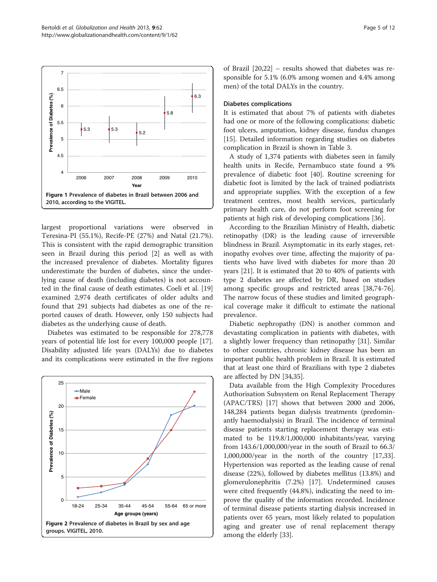<span id="page-4-0"></span>

largest proportional variations were observed in Teresina-PI (55.1%), Recife-PE (27%) and Natal (21.7%). This is consistent with the rapid demographic transition seen in Brazil during this period [[2\]](#page-9-0) as well as with the increased prevalence of diabetes. Mortality figures underestimate the burden of diabetes, since the underlying cause of death (including diabetes) is not accounted in the final cause of death estimates. Coeli et al. [[19](#page-10-0)] examined 2,974 death certificates of older adults and found that 291 subjects had diabetes as one of the reported causes of death. However, only 150 subjects had diabetes as the underlying cause of death.

Diabetes was estimated to be responsible for 278,778 years of potential life lost for every 100,000 people [\[17](#page-10-0)]. Disability adjusted life years (DALYs) due to diabetes and its complications were estimated in the five regions



of Brazil [\[20,22\]](#page-10-0) – results showed that diabetes was responsible for 5.1% (6.0% among women and 4.4% among men) of the total DALYs in the country.

### Diabetes complications

It is estimated that about 7% of patients with diabetes had one or more of the following complications: diabetic foot ulcers, amputation, kidney disease, fundus changes [[15\]](#page-9-0). Detailed information regarding studies on diabetes complication in Brazil is shown in Table [3](#page-5-0).

A study of 1,374 patients with diabetes seen in family health units in Recife, Pernambuco state found a 9% prevalence of diabetic foot [[40](#page-10-0)]. Routine screening for diabetic foot is limited by the lack of trained podiatrists and appropriate supplies. With the exception of a few treatment centres, most health services, particularly primary health care, do not perform foot screening for patients at high risk of developing complications [\[36\]](#page-10-0).

According to the Brazilian Ministry of Health, diabetic retinopathy (DR) is the leading cause of irreversible blindness in Brazil. Asymptomatic in its early stages, retinopathy evolves over time, affecting the majority of patients who have lived with diabetes for more than 20 years [[21](#page-10-0)]. It is estimated that 20 to 40% of patients with type 2 diabetes are affected by DR, based on studies among specific groups and restricted areas [\[38](#page-10-0)[,74-76](#page-11-0)]. The narrow focus of these studies and limited geographical coverage make it difficult to estimate the national prevalence.

Diabetic nephropathy (DN) is another common and devastating complication in patients with diabetes, with a slightly lower frequency than retinopathy [[31\]](#page-10-0). Similar to other countries, chronic kidney disease has been an important public health problem in Brazil. It is estimated that at least one third of Brazilians with type 2 diabetes are affected by DN [\[34,35\]](#page-10-0).

Data available from the High Complexity Procedures Authorisation Subsystem on Renal Replacement Therapy (APAC/TRS) [[17\]](#page-10-0) shows that between 2000 and 2006, 148,284 patients began dialysis treatments (predominantly haemodialysis) in Brazil. The incidence of terminal disease patients starting replacement therapy was estimated to be 119.8/1,000,000 inhabitants/year, varying from 143.6/1,000,000/year in the south of Brazil to 66.3/ 1,000,000/year in the north of the country [\[17,33](#page-10-0)]. Hypertension was reported as the leading cause of renal disease (22%), followed by diabetes mellitus (13.8%) and glomerulonephritis (7.2%) [\[17](#page-10-0)]. Undetermined causes were cited frequently (44.8%), indicating the need to improve the quality of the information recorded. Incidence of terminal disease patients starting dialysis increased in patients over 65 years, most likely related to population aging and greater use of renal replacement therapy among the elderly [[33](#page-10-0)].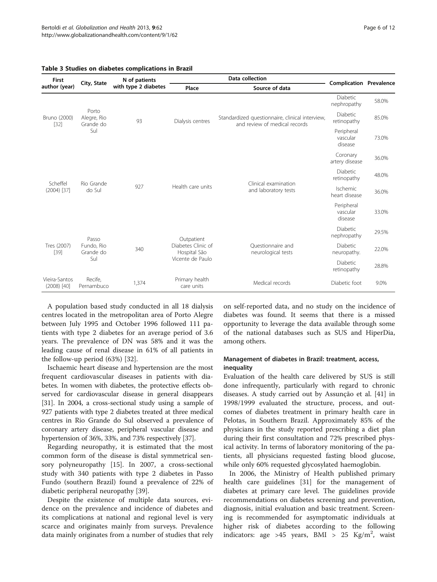| First                                             | City, State                              | N of patients<br>with type 2 diabetes |                                                                      |                                                                                  |                                   |       |
|---------------------------------------------------|------------------------------------------|---------------------------------------|----------------------------------------------------------------------|----------------------------------------------------------------------------------|-----------------------------------|-------|
| author (year)                                     |                                          |                                       | Place                                                                | Source of data                                                                   | <b>Complication Prevalence</b>    |       |
| Bruno (2000)<br>$[32]$                            | Porto<br>Alegre, Rio<br>Grande do<br>Sul | 93                                    | Dialysis centres                                                     | Standardized questionnaire, clinical interview,<br>and review of medical records | Diabetic<br>nephropathy           | 58.0% |
|                                                   |                                          |                                       |                                                                      |                                                                                  | Diabetic<br>retinopathy           | 85.0% |
|                                                   |                                          |                                       |                                                                      |                                                                                  | Peripheral<br>vascular<br>disease | 73.0% |
| Rio Grande<br>Scheffel<br>do Sul<br>$(2004)$ [37] |                                          | 927                                   | Health care units                                                    |                                                                                  | Coronary<br>artery disease        | 36.0% |
|                                                   |                                          |                                       |                                                                      | Clinical examination<br>and laboratory tests                                     | Diabetic<br>retinopathy           | 48.0% |
|                                                   |                                          |                                       |                                                                      |                                                                                  | Ischemic<br>heart disease         | 36.0% |
|                                                   |                                          |                                       |                                                                      |                                                                                  | Peripheral<br>vascular<br>disease | 33.0% |
| Tres (2007)<br>$[39]$                             | Passo                                    |                                       | Outpatient<br>Diabetes Clinic of<br>Hospital São<br>Vicente de Paulo | Ouestionnaire and<br>neurological tests                                          | Diabetic<br>nephropathy           | 29.5% |
|                                                   | Fundo, Rio<br>Grande do<br>Sul           | 340                                   |                                                                      |                                                                                  | Diabetic<br>neuropathy.           | 22.0% |
|                                                   |                                          |                                       |                                                                      |                                                                                  | Diabetic<br>retinopathy           | 28.8% |
| Vieira-Santos<br>$(2008)$ [40]                    | Recife,<br>Pernambuco                    | 1,374                                 | Primary health<br>care units                                         | Medical records                                                                  | Diabetic foot                     | 9.0%  |

#### <span id="page-5-0"></span>Table 3 Studies on diabetes complications in Brazil

A population based study conducted in all 18 dialysis centres located in the metropolitan area of Porto Alegre between July 1995 and October 1996 followed 111 patients with type 2 diabetes for an average period of 3.6 years. The prevalence of DN was 58% and it was the leading cause of renal disease in 61% of all patients in the follow-up period (63%) [[32\]](#page-10-0).

Ischaemic heart disease and hypertension are the most frequent cardiovascular diseases in patients with diabetes. In women with diabetes, the protective effects observed for cardiovascular disease in general disappears [[31](#page-10-0)]. In 2004, a cross-sectional study using a sample of 927 patients with type 2 diabetes treated at three medical centres in Rio Grande do Sul observed a prevalence of coronary artery disease, peripheral vascular disease and hypertension of 36%, 33%, and 73% respectively [\[37\]](#page-10-0).

Regarding neuropathy, it is estimated that the most common form of the disease is distal symmetrical sensory polyneuropathy [[15\]](#page-9-0). In 2007, a cross-sectional study with 340 patients with type 2 diabetes in Passo Fundo (southern Brazil) found a prevalence of 22% of diabetic peripheral neuropathy [\[39](#page-10-0)].

Despite the existence of multiple data sources, evidence on the prevalence and incidence of diabetes and its complications at national and regional level is very scarce and originates mainly from surveys. Prevalence data mainly originates from a number of studies that rely on self-reported data, and no study on the incidence of diabetes was found. It seems that there is a missed opportunity to leverage the data available through some of the national databases such as SUS and HiperDia, among others.

## Management of diabetes in Brazil: treatment, access, inequality

Evaluation of the health care delivered by SUS is still done infrequently, particularly with regard to chronic diseases. A study carried out by Assunção et al. [[41\]](#page-10-0) in 1998/1999 evaluated the structure, process, and outcomes of diabetes treatment in primary health care in Pelotas, in Southern Brazil. Approximately 85% of the physicians in the study reported prescribing a diet plan during their first consultation and 72% prescribed physical activity. In terms of laboratory monitoring of the patients, all physicians requested fasting blood glucose, while only 60% requested glycosylated haemoglobin.

In 2006, the Ministry of Health published primary health care guidelines [\[31\]](#page-10-0) for the management of diabetes at primary care level. The guidelines provide recommendations on diabetes screening and prevention, diagnosis, initial evaluation and basic treatment. Screening is recommended for asymptomatic individuals at higher risk of diabetes according to the following indicators: age >45 years,  $BMI > 25$  Kg/m<sup>2</sup>, waist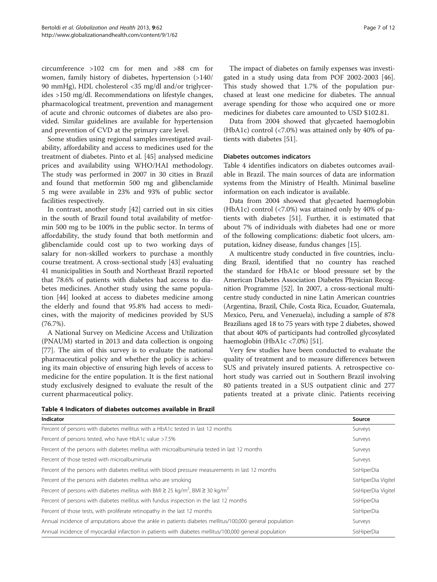circumference >102 cm for men and >88 cm for women, family history of diabetes, hypertension (>140/ 90 mmHg), HDL cholesterol <35 mg/dl and/or triglycerides >150 mg/dl. Recommendations on lifestyle changes, pharmacological treatment, prevention and management of acute and chronic outcomes of diabetes are also provided. Similar guidelines are available for hypertension and prevention of CVD at the primary care level.

Some studies using regional samples investigated availability, affordability and access to medicines used for the treatment of diabetes. Pinto et al. [[45\]](#page-10-0) analysed medicine prices and availability using WHO/HAI methodology. The study was performed in 2007 in 30 cities in Brazil and found that metformin 500 mg and glibenclamide 5 mg were available in 23% and 93% of public sector facilities respectively.

In contrast, another study [[42\]](#page-10-0) carried out in six cities in the south of Brazil found total availability of metformin 500 mg to be 100% in the public sector. In terms of affordability, the study found that both metformin and glibenclamide could cost up to two working days of salary for non-skilled workers to purchase a monthly course treatment. A cross-sectional study [[43\]](#page-10-0) evaluating 41 municipalities in South and Northeast Brazil reported that 78.6% of patients with diabetes had access to diabetes medicines. Another study using the same population [[44](#page-10-0)] looked at access to diabetes medicine among the elderly and found that 95.8% had access to medicines, with the majority of medicines provided by SUS (76.7%).

A National Survey on Medicine Access and Utilization (PNAUM) started in 2013 and data collection is ongoing [[77\]](#page-11-0). The aim of this survey is to evaluate the national pharmaceutical policy and whether the policy is achieving its main objective of ensuring high levels of access to medicine for the entire population. It is the first national study exclusively designed to evaluate the result of the current pharmaceutical policy.

The impact of diabetes on family expenses was investigated in a study using data from POF 2002-2003 [\[46](#page-10-0)]. This study showed that 1.7% of the population purchased at least one medicine for diabetes. The annual average spending for those who acquired one or more medicines for diabetes care amounted to USD \$102.81.

Data from 2004 showed that glycaeted haemoglobin (HbA1c) control (<7.0%) was attained only by 40% of patients with diabetes [\[51](#page-10-0)].

#### Diabetes outcomes indicators

Table 4 identifies indicators on diabetes outcomes available in Brazil. The main sources of data are information systems from the Ministry of Health. Minimal baseline information on each indicator is available.

Data from 2004 showed that glycaeted haemoglobin (HbA1c) control (<7.0%) was attained only by 40% of patients with diabetes [\[51](#page-10-0)]. Further, it is estimated that about 7% of individuals with diabetes had one or more of the following complications: diabetic foot ulcers, amputation, kidney disease, fundus changes [\[15\]](#page-9-0).

A multicentre study conducted in five countries, including Brazil, identified that no country has reached the standard for HbA1c or blood pressure set by the American Diabetes Association Diabetes Physician Recognition Programme [\[52\]](#page-10-0). In 2007, a cross-sectional multicentre study conducted in nine Latin American countries (Argentina, Brazil, Chile, Costa Rica, Ecuador, Guatemala, Mexico, Peru, and Venezuela), including a sample of 878 Brazilians aged 18 to 75 years with type 2 diabetes, showed that about 40% of participants had controlled glycosylated haemoglobin (HbA1c <7.0%) [[51](#page-10-0)].

Very few studies have been conducted to evaluate the quality of treatment and to measure differences between SUS and privately insured patients. A retrospective cohort study was carried out in Southern Brazil involving 80 patients treated in a SUS outpatient clinic and 277 patients treated at a private clinic. Patients receiving

Table 4 Indicators of diabetes outcomes available in Brazil

| Indicator                                                                                                        | Source              |
|------------------------------------------------------------------------------------------------------------------|---------------------|
| Percent of persons with diabetes mellitus with a HbA1c tested in last 12 months                                  | Surveys             |
| Percent of persons tested, who have HbA1c value >7.5%                                                            | Surveys             |
| Percent of the persons with diabetes mellitus with microalbuminuria tested in last 12 months                     | Surveys             |
| Percent of those tested with microalbuminuria                                                                    | Surveys             |
| Percent of the persons with diabetes mellitus with blood pressure measurements in last 12 months                 | SisHiperDia         |
| Percent of the persons with diabetes mellitus who are smoking                                                    | SisHiperDia Vigitel |
| Percent of persons with diabetes mellitus with BMI $\geq$ 25 kg/m <sup>2</sup> , BMI $\geq$ 30 kg/m <sup>2</sup> | SisHiperDia Vigitel |
| Percent of persons with diabetes mellitus with fundus inspection in the last 12 months                           | SisHiperDia         |
| Percent of those tests, with proliferate retinopathy in the last 12 months                                       | SisHiperDia         |
| Annual incidence of amputations above the ankle in patients diabetes mellitus/100,000 general population         | Surveys             |
| Annual incidence of myocardial infarction in patients with diabetes mellitus/100,000 general population          | SisHiperDia         |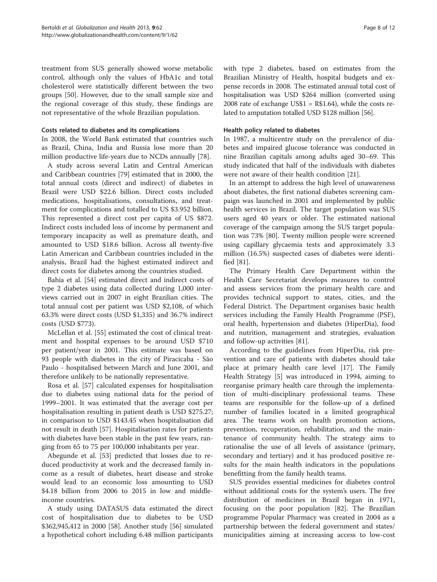treatment from SUS generally showed worse metabolic control, although only the values of HbA1c and total cholesterol were statistically different between the two groups [\[50](#page-10-0)]. However, due to the small sample size and the regional coverage of this study, these findings are not representative of the whole Brazilian population.

## Costs related to diabetes and its complications

In 2008, the World Bank estimated that countries such as Brazil, China, India and Russia lose more than 20 million productive life-years due to NCDs annually [\[78](#page-11-0)].

A study across several Latin and Central American and Caribbean countries [[79\]](#page-11-0) estimated that in 2000, the total annual costs (direct and indirect) of diabetes in Brazil were USD \$22.6 billion. Direct costs included medications, hospitalisations, consultations, and treatment for complications and totalled to US \$3.952 billion. This represented a direct cost per capita of US \$872. Indirect costs included loss of income by permanent and temporary incapacity as well as premature death, and amounted to USD \$18.6 billion. Across all twenty-five Latin American and Caribbean countries included in the analysis, Brazil had the highest estimated indirect and direct costs for diabetes among the countries studied.

Bahia et al. [\[54\]](#page-10-0) estimated direct and indirect costs of type 2 diabetes using data collected during 1,000 interviews carried out in 2007 in eight Brazilian cities. The total annual cost per patient was USD \$2,108, of which 63.3% were direct costs (USD \$1,335) and 36.7% indirect costs (USD \$773).

McLellan et al. [[55\]](#page-10-0) estimated the cost of clinical treatment and hospital expenses to be around USD \$710 per patient/year in 2001. This estimate was based on 93 people with diabetes in the city of Piracicaba - São Paulo - hospitalised between March and June 2001, and therefore unlikely to be nationally representative.

Rosa et al. [[57\]](#page-10-0) calculated expenses for hospitalisation due to diabetes using national data for the period of 1999–2001. It was estimated that the average cost per hospitalisation resulting in patient death is USD \$275.27; in comparison to USD \$143.45 when hospitalisation did not result in death [[57\]](#page-10-0). Hospitalisation rates for patients with diabetes have been stable in the past few years, ranging from 65 to 75 per 100,000 inhabitants per year.

Abegunde et al. [[53\]](#page-10-0) predicted that losses due to reduced productivity at work and the decreased family income as a result of diabetes, heart disease and stroke would lead to an economic loss amounting to USD \$4.18 billion from 2006 to 2015 in low and middleincome countries.

A study using DATASUS data estimated the direct cost of hospitalisation due to diabetes to be USD \$362,945,412 in 2000 [[58](#page-10-0)]. Another study [[56\]](#page-10-0) simulated a hypothetical cohort including 6.48 million participants

with type 2 diabetes, based on estimates from the Brazilian Ministry of Health, hospital budgets and expense records in 2008. The estimated annual total cost of hospitalisation was USD \$264 million (converted using 2008 rate of exchange  $US$1 = R$1.64$ ), while the costs related to amputation totalled USD \$128 million [[56](#page-10-0)].

## Health policy related to diabetes

In 1987, a multicentre study on the prevalence of diabetes and impaired glucose tolerance was conducted in nine Brazilian capitals among adults aged 30–69. This study indicated that half of the individuals with diabetes were not aware of their health condition [\[21](#page-10-0)].

In an attempt to address the high level of unawareness about diabetes, the first national diabetes screening campaign was launched in 2001 and implemented by public health services in Brazil. The target population was SUS users aged 40 years or older. The estimated national coverage of the campaign among the SUS target population was 73% [[80](#page-11-0)]. Twenty million people were screened using capillary glycaemia tests and approximately 3.3 million (16.5%) suspected cases of diabetes were identified [[81\]](#page-11-0).

The Primary Health Care Department within the Health Care Secretariat develops measures to control and assess services from the primary health care and provides technical support to states, cities, and the Federal District. The Department organises basic health services including the Family Health Programme (PSF), oral health, hypertension and diabetes (HiperDia), food and nutrition, management and strategies, evaluation and follow-up activities [\[81](#page-11-0)].

According to the guidelines from HiperDia, risk prevention and care of patients with diabetes should take place at primary health care level [\[17](#page-10-0)]. The Family Health Strategy [\[5](#page-9-0)] was introduced in 1994, aiming to reorganise primary health care through the implementation of multi-disciplinary professional teams. These teams are responsible for the follow-up of a defined number of families located in a limited geographical area. The teams work on health promotion actions, prevention, recuperation, rehabilitation, and the maintenance of community health. The strategy aims to rationalise the use of all levels of assistance (primary, secondary and tertiary) and it has produced positive results for the main health indicators in the populations benefitting from the family health teams.

SUS provides essential medicines for diabetes control without additional costs for the system's users. The free distribution of medicines in Brazil began in 1971, focusing on the poor population [\[82](#page-11-0)]. The Brazilian programme Popular Pharmacy was created in 2004 as a partnership between the federal government and states/ municipalities aiming at increasing access to low-cost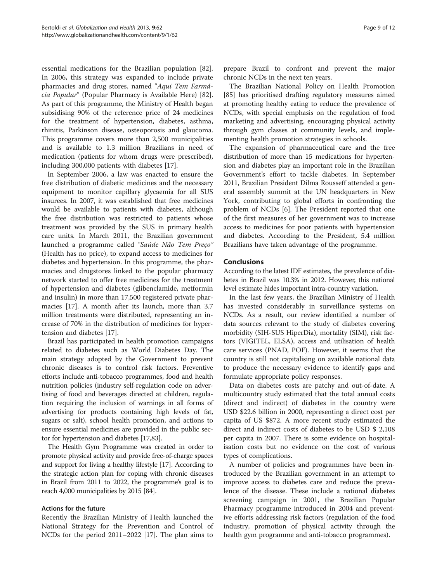essential medications for the Brazilian population [\[82](#page-11-0)]. In 2006, this strategy was expanded to include private pharmacies and drug stores, named "Aqui Tem Farmácia Popular" (Popular Pharmacy is Available Here) [\[82](#page-11-0)]. As part of this programme, the Ministry of Health began subsidising 90% of the reference price of 24 medicines for the treatment of hypertension, diabetes, asthma, rhinitis, Parkinson disease, osteoporosis and glaucoma. This programme covers more than 2,500 municipalities and is available to 1.3 million Brazilians in need of medication (patients for whom drugs were prescribed), including 300,000 patients with diabetes [\[17](#page-10-0)].

In September 2006, a law was enacted to ensure the free distribution of diabetic medicines and the necessary equipment to monitor capillary glycaemia for all SUS insurees. In 2007, it was established that free medicines would be available to patients with diabetes, although the free distribution was restricted to patients whose treatment was provided by the SUS in primary health care units. In March 2011, the Brazilian government launched a programme called "Saúde Não Tem Preço" (Health has no price), to expand access to medicines for diabetes and hypertension. In this programme, the pharmacies and drugstores linked to the popular pharmacy network started to offer free medicines for the treatment of hypertension and diabetes (glibenclamide, metformin and insulin) in more than 17,500 registered private pharmacies [[17](#page-10-0)]. A month after its launch, more than 3.7 million treatments were distributed, representing an increase of 70% in the distribution of medicines for hypertension and diabetes [[17](#page-10-0)].

Brazil has participated in health promotion campaigns related to diabetes such as World Diabetes Day. The main strategy adopted by the Government to prevent chronic diseases is to control risk factors. Preventive efforts include anti-tobacco programmes, food and health nutrition policies (industry self-regulation code on advertising of food and beverages directed at children, regulation requiring the inclusion of warnings in all forms of advertising for products containing high levels of fat, sugars or salt), school health promotion, and actions to ensure essential medicines are provided in the public sector for hypertension and diabetes [[17](#page-10-0)[,83\]](#page-11-0).

The Health Gym Programme was created in order to promote physical activity and provide free-of-charge spaces and support for living a healthy lifestyle [[17](#page-10-0)]. According to the strategic action plan for coping with chronic diseases in Brazil from 2011 to 2022, the programme's goal is to reach 4,000 municipalities by 2015 [[84](#page-11-0)].

#### Actions for the future

Recently the Brazilian Ministry of Health launched the National Strategy for the Prevention and Control of NCDs for the period 2011–2022 [[17](#page-10-0)]. The plan aims to

prepare Brazil to confront and prevent the major chronic NCDs in the next ten years.

The Brazilian National Policy on Health Promotion [[85\]](#page-11-0) has prioritised drafting regulatory measures aimed at promoting healthy eating to reduce the prevalence of NCDs, with special emphasis on the regulation of food marketing and advertising, encouraging physical activity through gym classes at community levels, and implementing health promotion strategies in schools.

The expansion of pharmaceutical care and the free distribution of more than 15 medications for hypertension and diabetes play an important role in the Brazilian Government's effort to tackle diabetes. In September 2011, Brazilian President Dilma Rousseff attended a general assembly summit at the UN headquarters in New York, contributing to global efforts in confronting the problem of NCDs [[6\]](#page-9-0). The President reported that one of the first measures of her government was to increase access to medicines for poor patients with hypertension and diabetes. According to the President, 5.4 million Brazilians have taken advantage of the programme.

## Conclusions

According to the latest IDF estimates, the prevalence of diabetes in Brazil was 10.3% in 2012. However, this national level estimate hides important intra-country variation.

In the last few years, the Brazilian Ministry of Health has invested considerably in surveillance systems on NCDs. As a result, our review identified a number of data sources relevant to the study of diabetes covering morbidity (SIH-SUS HiperDia), mortality (SIM), risk factors (VIGITEL, ELSA), access and utilisation of health care services (PNAD, POF). However, it seems that the country is still not capitalising on available national data to produce the necessary evidence to identify gaps and formulate appropriate policy responses.

Data on diabetes costs are patchy and out-of-date. A multicountry study estimated that the total annual costs (direct and indirect) of diabetes in the country were USD \$22.6 billion in 2000, representing a direct cost per capita of US \$872. A more recent study estimated the direct and indirect costs of diabetes to be USD \$ 2,108 per capita in 2007. There is some evidence on hospitalisation costs but no evidence on the cost of various types of complications.

A number of policies and programmes have been introduced by the Brazilian government in an attempt to improve access to diabetes care and reduce the prevalence of the disease. These include a national diabetes screening campaign in 2001, the Brazilian Popular Pharmacy programme introduced in 2004 and preventive efforts addressing risk factors (regulation of the food industry, promotion of physical activity through the health gym programme and anti-tobacco programmes).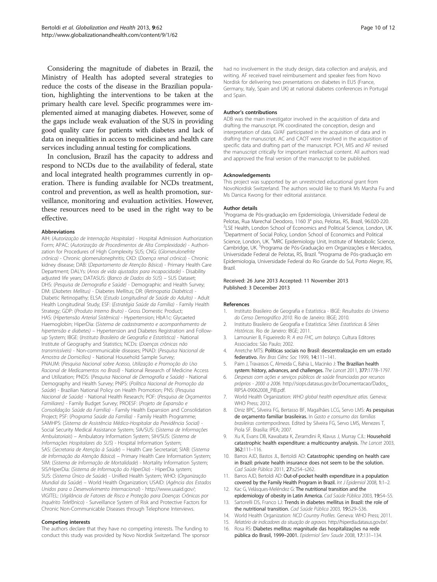<span id="page-9-0"></span>Considering the magnitude of diabetes in Brazil, the Ministry of Health has adopted several strategies to reduce the costs of the disease in the Brazilian population, highlighting the interventions to be taken at the primary health care level. Specific programmes were implemented aimed at managing diabetes. However, some of the gaps include weak evaluation of the SUS in providing good quality care for patients with diabetes and lack of data on inequalities in access to medicines and health care services including annual testing for complications.

In conclusion, Brazil has the capacity to address and respond to NCDs due to the availability of federal, state and local integrated health programmes currently in operation. There is funding available for NCDs treatment, control and prevention, as well as health promotion, surveillance, monitoring and evaluation activities. However, these resources need to be used in the right way to be effective.

#### Abbreviations

AIH: (Autorização de Internação Hospitalar) - Hospital Admission Authorization Form; APAC: (Autorização de Procedimentos de Alta Complexidade) - Authorization for Procedures of High Complexity SUS; CNG: (Glomerulonefrite crônica) - Chronic glomerulonephritis; CKD: (Doença renal crônica) - Chronic kidney disease; DAB: (Departamento de Atenção Básica) - Primary Health Care Department; DALYs: (Anos de vida ajustados para incapacidade) - Disability adjusted life years; DATASUS: (Banco de Dados do SUS) – SUS Dataset; DHS: (Pesquisa de Demografia e Saúde) - Demographic and Health Survey; DM: (Diabetes Mellitus) - Diabetes Mellitus; DR: (Retinopatia Diabética) - Diabetic Retinopathy; ELSA: (Estudo Longitudinal de Saúde do Adulto) - Adult Health Longitudinal Study; ESF: (Estratégia Saúde da Família) - Family Health Strategy; GDP: (Produto Interno Bruto) - Gross Domestic Product; HAS: (Hipertensão Arterial Sistêmica) - Hypertension; HbA1c: Glycaeted Haemoglobin; HiperDia: (Sistema de cadastramento e acompanhamento de hipertensão e diabetes) – Hypertension and Diabetes Registration and Followup System; IBGE: (Instituto Brasileiro de Geografia e Estatística) - National Institute of Geography and Statistics; NCDs: (Doenças crônicas não transmissíveis) - Non-communicable diseases; PNAD: (Pesquisa Nacional de Amostra de Domicílios) - National Household Sample Survey; PNAUM: (Pesquisa Nacional sobre Acesso, Utilização e Promoção do Uso Racional de Medicamentos no Brasil) - National Research of Medicine Access and Utilization; PNDS: (Pesquisa Nacional de Demografia e Saúde) - National Demography and Health Survey; PNPS: (Política Nacional de Promoção da Saúde) - Brazilian National Policy on Health Promotion; PNS: (Pesquisa Nacional de Saúde) - National Health Research; POF: (Pesquisa de Orçamentos Familiares) - Family Budget Survey; PROESF: (Projeto de Expansão e Consolidação Saúde da Família) - Family Health Expansion and Consolidation Project; PSF: (Programa Saúde da Família) - Family Health Programme; SAMHPS: (Sistema de Assistência Médico-Hospitalar da Previdência Social) - Social Security Medical Assistance System; SIA/SUS: (Sistema de Informações Ambulatoriais) – Ambulatory Information System; SIH/SUS: (Sistema de Informações Hospitalares do SUS) - Hospital Information System; SAS: (Secretaria de Atenção à Saúde) – Health Care Secretariat; SIAB: (Sistema de Informação da Atenção Básica) – Primary Health Care Information System; SIM: (Sistema de Informação de Mortalidade) - Mortality Information System; SIS/HiperDia: (Sistema de Informação do HiperDia) - HiperDia system; SUS: (Sistema Único de Saúde) - Unified Health System; WHO: (Organização Mundial da Saúde) – World Health Organization; USAID: (Agência dos Estados Unidos para o Desenvolvimento Internacional) - http://www.usaid.gov/; VIGITEL: (Vigilância de Fatores de Risco e Proteção para Doenças Crônicas por Inquérito Telefônico) - Surveillance System of Risk and Protective Factors for Chronic Non-Communicable Diseases through Telephone Interviews.

#### Competing interests

The authors declare that they have no competing interests. The funding to conduct this study was provided by Novo Nordisk Switzerland. The sponsor had no involvement in the study design, data collection and analysis, and writing. AF received travel reimbursement and speaker fees from Novo Nordisk for delivering two presentations on diabetes in EU5 (France, Germany, Italy, Spain and UK) at national diabetes conferences in Portugal and Spain.

#### Author's contributions

ADB was the main investigator involved in the acquisition of data and drafting the manuscript. PK coordinated the conception, design and interpretation of data. GVAF participated in the acquisition of data and in drafting the manuscript. AC and CAOT were involved in the acquisition of specific data and drafting part of the manuscript. PCH, MIS and AF revised the manuscript critically for important intellectual content. All authors read and approved the final version of the manuscript to be published.

#### Acknowledgements

This project was supported by an unrestricted educational grant from NovoNordisk Switzerland. The authors would like to thank Ms Marsha Fu and Ms Danica Kwong for their editorial assistance.

#### Author details

1 Programa de Pós-graduação em Epidemiologia, Universidade Federal de Pelotas, Rua Marechal Deodoro, 1160 3° piso, Pelotas, RS, Brazil, 96.020-220. <sup>2</sup>LSE Health, London School of Economics and Political Science, London, UK <sup>3</sup>Department of Social Policy, London School of Economics and Political Science, London, UK. <sup>4</sup>MRC Epidemiology Unit, Institute of Metabolic Science, Cambridge, UK. <sup>5</sup>Programa de Pós-Graduação em Organizações e Mercados, Universidade Federal de Pelotas, RS, Brazil. <sup>6</sup>Programa de Pós-graduação em Epidemiologia, Universidade Federal do Rio Grande do Sul, Porto Alegre, RS, Brazil.

#### Received: 26 June 2013 Accepted: 11 November 2013 Published: 3 December 2013

#### References

- 1. Instituto Brasileiro de Geografia e Estatística IBGE: Resultados do Universo do Censo Demográfico 2010. Rio de Janeiro: IBGE; 2010.
- 2. Instituto Brasileiro de Geografia e Estatística: Séries Estatísticas & Séries Históricas. Rio de Janeiro: IBGE; 2011.
- Lamounier B, Figueiredo R: A era FHC, um balanço. Cultura Editores Associados: São Paulo; 2002.
- 4. Arretche MTS: Políticas sociais no Brasil: descentralização em um estado federativo. Rev Bras Ciênc Soc 1999, 14:111–141.
- 5. Paim J, Travassos C, Almeida C, Bahia L, Macinko J: The Brazilian health system: history, advances, and challenges. The Lancet 2011, 377:1778–1797.
- 6. Despesas com ações e serviços públicos de saúde financiadas por recursos próprios - 2000 a 2006. [http://siops.datasus.gov.br/Documentacao/Dados\\_](http://siops.datasus.gov.br/Documentacao/Dados_RIPSA-09062008_PIB.pdf) [RIPSA-09062008\\_PIB.pdf](http://siops.datasus.gov.br/Documentacao/Dados_RIPSA-09062008_PIB.pdf).
- 7. World Health Organization: WHO global health expenditure atlas. Geneva: WHO Press; 2012.
- 8. Diniz BPC, Silveira FG, Bertasso BF, Magalhães LCG, Servo LMS: As pesquisas de orçamento familiar brasileiras. In Gasto e consumo das famílias brasileiras contemporâneas. Edited by Silveira FG, Servo LMS, Menezes T, Piola SF. Brasília: IPEA; 2007.
- 9. Xu K, Evans DB, Kawabata K, Zeramdini R, Klavus J, Murray CJL: Household catastrophic health expenditure: a multicountry analysis. The Lancet 2003, 362:111–116.
- 10. Barros AJD, Bastos JL, Bertoldi AD: Catastrophic spending on health care in Brazil: private health insurance does not seem to be the solution. Cad Saúde Pública 2011, 27:s254–s262.
- 11. Barros AJD, Bertoldi AD: Out-of-pocket health expenditure in a population covered by the Family Health Program in Brazil. Int J Epidemiol 2008, 1:1-2.
- 12. Kac G, Velásques-Meléndez G: The nutritional transition and the epidemiology of obesity in Latin America. Cad Saúde Pública 2003, 19:S4-S5.
- 13. Sartorelli DS, Franco LJ: Trends in diabetes mellitus in Brazil: the role of the nutritional transition. Cad Saúde Pública 2003, 19:S29–S36.
- 14. World Health Organization: NCD Country Profiles. Geneva: WHO Press; 2011.
- 15. Relatório de indicadores da situação de agravos. [http://hiperdia.datasus.gov.br/.](http://hiperdia.datasus.gov.br/)
- 16. Rosa RS: Diabetes mellitus: magnitude das hospitalizações na rede pública do Brasil, 1999–2001. Epidemiol Serv Saude 2008, 17:131–134.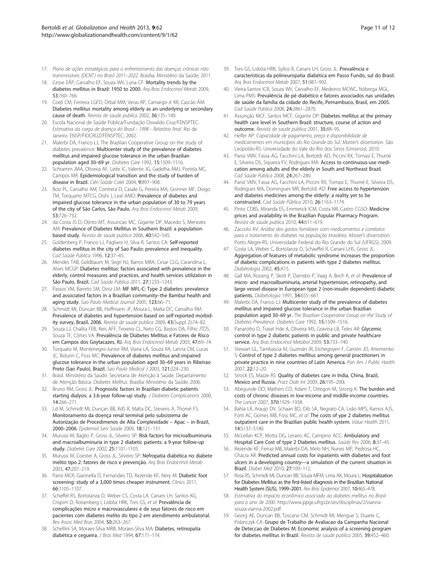- <span id="page-10-0"></span>17. Plano de ações estratégicas para o enfrentamento das doenças crônicas não transmissíveis (DCNT) no Brasil 2011–2022. Brasília: Ministério da Saúde; 2011.
- 18. Cesse EÂP, Carvalho EF, Souza WV, Luna CF: Mortality trends by the diabetes mellitus in Brazil: 1950 to 2000. Arq Bras Endocrinol Metab 2009, 53:760–766.
- 19. Coeli CM, Ferreira LGFD, Drbal MM, Veras RP, Camargo-Jr KR, Cascão ÂM: Diabetes mellitus mortality among elderly as an underlying or secondary cause of death. Revista de saude publica 2002, 36:135–140.
- 20. Escola Nacional de Saúde Pública/Fundação Oswaldo Cruz/FENSPTEC: Estimativa da carga de doença do Brasil - 1998 - Relatório final. Rio de Janeiro: ENSP/FIOCRUZ/FENSPTEC; 2002.
- 21. Malerbi DA, Franco LJ, The Brazilian Cooperative Group on the study of diabetes prevalence: Multicenter study of the prevalence of diabetes mellitus and impaired glucose tolerance in the urban Brazilian population aged 30–69 yr. Diabetes Care 1992, 15:1509–1516.
- 22. Schramm JMA, Oliveira AF, Leite IC, Valente JG, Gadelha ÂMJ, Portela MC, Campos MR: Epidemiological transition and the study of burden of disease in Brazil. Ciên Saúde Colet 2004, 9:897–908.
- 23. Bosi PL, Carvalho AM, Contrera D, Casale G, Pereira MA, Gronner MF, Diogo TM, Torquarto MTCG, Oishi J, Leal AMO: Prevalence of diabetes and impaired glucose tolerance in the urban population of 30 to 79 years of the city of São Carlos, São Paulo. Arq Bras Endocrinol Metab 2009, 53:726–732.
- 24. da Costa JS D, Olinto MT, Assuncao MC, Gigante DP, Macedo S, Menezes AM: Prevalence of Diabetes Mellitus in Southern Brazil: a populationbased study. Revista de saude publica 2006, 40:542–545.
- 25. Goldenberg P, Franco LJ, Pagliaro H, Silva R, Santos CA: Self-reported diabetes mellitus in the city of Sao Paulo: prevalence and inequality. Cad Saúde Pública 1996, 12:37–45.
- 26. Mendes TAB, Goldbaum M, Segri NJ, Barros MBA, Cesar CLG, Carandina L, Alves MCGP: Diabetes mellitus: factors associated with prevalence in the elderly, control measures and practices, and health services utilization in São Paulo, Brazil. Cad Saúde Pública 2011, 27:1233–1243.
- 27. Passos VM, Barreto SM, Diniz LM: MF MFL-C: Type 2 diabetes: prevalence and associated factors in a Brazilian community–the Bambui health and aging study. Sao Paulo Medical Journal 2005, 123:66–71.
- 28. Schmidt MI, Duncan BB, Hoffmann JF, Moura L, Malta DC, Carvalho RM: Prevalence of diabetes and hypertension based on self-reported morbidity survey, Brazil, 2006. Revista de saude publica 2009, 43(Suppl 2):74–82.
- 29. Souza LJ, Chalita FEB, Reis AFF, Teixeira CL, Neto CG, Bastos DA, Filho JTDS, Souza TF, Côrtes VA: Prevalência de Diabetes Mellitus e Fatores de Risco em Campos dos Goytacazes, RJ. Arq Bras Endocrinol Metab 2003, 47:69–74.
- 30. Torquato M, Montenegro-Junior RM, Viana LA, Souza RA, Lanna CM, Lucas JC, Bidurin C, Foss MC: Prevalence of diabetes mellitus and impaired glucose tolerance in the urban population aged 30–69 years in Ribeirao Preto (Sao Paulo), Brazil. Sao Paulo Medical J 2003, 121:224–230.
- 31. Brasil. Ministério da Saúde. Secretaria de Atenção à Saúde. Departamento de Atenção Básica: Diabetes Mellitus. Brasília: Ministério da Saúde; 2006.
- 32. Bruno RM, Gross JL: Prognostic factors in Brazilian diabetic patients starting dialysis: a 3.6-year follow-up study. J Diabetes Complications 2000, 14:266–271.
- 33. Ld M, Schmidt MI, Duncan BB, RdS R, Malta DC, Stevens A, Thomé FS: Monitoramento da doença renal terminal pelo subsistema de Autorização de Procedimenos de Alta Complexidade – Apac – in Brazil, 2000–2006. Epidemiol Serv Saúde 2009, 18:121–131.
- 34. Murussi M, Baglio P, Gross JL, Silveiro SP: Risk factors for microalbuminuria and macroalbuminuria in type 2 diabetic patients: a 9-year follow-up study. Diabetes Care 2002, 25:1101–1103.
- 35. Murussi M, Coester A, Gross JL, Silveiro SP: Nefropatia diabética no diabete melito tipo 2: fatores de risco e prevenção. Arq Bras Endocrinol Metab 2003, 47:207–219.
- 36. Parisi MCR, Giannella D, Fernandes TD, Rezende KF, Nery M: Diabetic foot screening: study of a 3,000 times cheaper instrument. Clinics 2011, 66:1105–1107.
- 37. Scheffel RS, Bortolanza D, Weber CS, Costa LA, Canani LH, Santos KG, Crispim D, Roisenberg I, Lisbôa HRK, Tres GS, et al: Prevalência de complicações micro e macrovasculares e de seus fatores de risco em pacientes com diabetes melito do tipo 2 em atendimento ambulatorial. Rev Assoc Med Bras 2004, 50:263–267.
- 38. Schellini SA, Moraes-Silva MRB, Moraes-Silva MA: Diabetes, retinopatia diabética e cegueira. J Bras Med 1994, 67:171-174.
- 39. Tres GS, Lisbôa HRK, Syllos R, Canani LH, Gross JL: Prevalência e características da polineuropatia diabética em Passo Fundo, sul do Brasil. Arq Bras Endocrinol Metab 2007, 51:987–992.
- 40. Vieira-Santos ICR, Souza WV, Carvalho EF, Medeiros MCWC, Nóbrega MGL, Lima PMS: Prevalência de pé diabético e fatores associados nas unidades de saúde da família da cidade do Recife, Pernambuco, Brasil, em 2005. Cad Saúde Pública 2008, 24:2861–2870.
- 41. Assunção MCF, Santos MCF, Gigante DP: Diabetes mellitus at the primary health care level in Southern Brazil: structure, course of action and outcome. Revista de saude publica 2001, 35:88–95.
- 42. Helfer AP: Capacidade de pagamento, preço e disponibilidade de medicamentos em municípios do Rio Grande do Sul. Master's dissertation. São Leopoldo-RS: Universidade do Vale do Rio dos Sinos (Unisinos); 2010.
- 43. Paniz VMV, Fassa AG, Facchini LA, Bertoldi AD, Piccini RX, Tomasi E, Thumé E, Silveira DS, Siqueira FV, Rodrigues MA: Access to continuous-use medication among adults and the elderly in South and Northeast Brazil. Cad Saúde Pública 2008, 24:267–280.
- 44. Paniz VMV, Fassa AG, Facchini LA, Piccini RX, Tomasi E, Thumé E, Silveira DS, Rodrigues MA, Domingues MR, Bertoldi AD: Free access to hypertension and diabetes medicines among the elderly: a reality yet to be constructed. Cad Saúde Pública 2010, 26:1163–1174.
- 45. Pinto CDBS, Miranda ES, Emmerick ICM, Costa NR, Castro CGSO: Medicine prices and availability in the Brazilian Popular Pharmacy Program. Revista de saude publica 2010, 44:611–619.
- 46. Zaccolo AV: Análise dos gastos familiares com medicamentos e correlatos para o tratamento do diabetes na população brasileira. Master's dissertation. Porto Alegre-RS: Universidade Federal do Rio Grande do Sul (UFRGS); 2009.
- 47. Costa LA, Weber C, Bortolanza D, Schaeffel R, Canani LHS, Gross JL: Aggregation of features of metabolic syndrome increases the proportion of diabetic complications in patients with type 2 diabetes mellitus. Diabetologia 2002, 45:A15.
- 48. Gall MA, Rossing P, Skott P, Damsbo P, Vaag A, Bech K, et al: Prevalence of micro- and macroalbuminuria, arterial hypertension, retinopathy, and large vessel disease in European type 2 (non-insulin dependent) diabetic patients. Diabetologia 1991, 34:655–661.
- 49. Malerbi DA, Franco LJ: Multicenter study of the prevalence of diabetes mellitus and impaired glucose tolerance in the urban Brazilian population aged 30–69 yr. The Brazilian Cooperative Group on the Study of Diabetes Prevalence. Diabetes Care 1992, 15:1509–1516.
- 50. Panarotto D, Trasel Hde A, Oliveira MS, Gravina LB, Teles AR: Glycemic control in type 2 diabetic patients in public and private healthcare service. Arq Bras Endocrinol Metabol 2009, 53:733-740.
- Stewart GL, Tambascia M, Guzmán JR, Etchegoyen F, Carrión JO, Artemenko S: Control of type 2 diabetes mellitus among general practitioners in private practice in nine countries of Latin America. Pan Am J Public Health .<br>2007, **22:**12-20.
- 52. Strock ES, Mazze RS: Quality of diabetes care in India, China, Brazil, Mexico and Russia. Pract Diab Int 2009, 26:195–200i.
- 53. Abegunde DO, Mathers CD, Adam T, Ortegon M, Strong K: The burden and costs of chronic diseases in low-income and middle-income countries. The Lancet 2007, 370:1929–1938.
- 54. Bahia LR, Araujo DV, Schaan BD, Dib SA, Negrato CA, Leão MPS, Ramos AJS, Forti AC, Gomes MB, Foss MC, et al: The costs of ype 2 diabetes mellitus outpatient care in the Brazilian public health system. Value Health 2011, 14:S137–S140.
- 55. McLellan KCP, Motta DG, Lerario AC, Campino ACC: Ambulatory and Hospital Care Cost of type 2 Diabetes mellitus. Saúde Rev 2006, 8:37–45.
- 56. Rezende KF, Ferraz MB, Malerbi DA, Melo NH, Nunes MP, Pedrosa HC, Chacra AR: Predicted annual costs for inpatients with diabetes and foot ulcers in a developing country—a simulation of the current situation in Brazil. Diabet Med 2010, 27:109–112.
- 57. Rosa RS, Schmidt MI, Duncan BB, Souza MFM, Lima AK, Moura L: Hospitalization for Diabetes Mellitus as the first-listed diagnosis in the Brazilian National Health System (SUS), 1999–2001. Rev Bras Epidemiol 2007, 10:465–478.
- 58. Estimativa do impacto econômico associado ao diabetes mellitus no Brasil para o ano de 2000. [http://www.ppge.ufrgs.br/ats/disciplinas/2/vianna](http://www.ppge.ufrgs.br/ats/disciplinas/2/vianna-souza-vianna-2002.pdf)[souza-vianna-2002.pdf.](http://www.ppge.ufrgs.br/ats/disciplinas/2/vianna-souza-vianna-2002.pdf)
- 59. Georg AE, Duncan BB, Toscano CM, Schmidt MI, Mengue S, Duarte C, Polanczyk CA: Grupo de Trabalho de Avaliacao da Campanha Nacional de Deteccao de Diabetes M: Economic analysis of a screening program for diabetes mellitus in Brazil. Revista de saude publica 2005, 39:452–460.